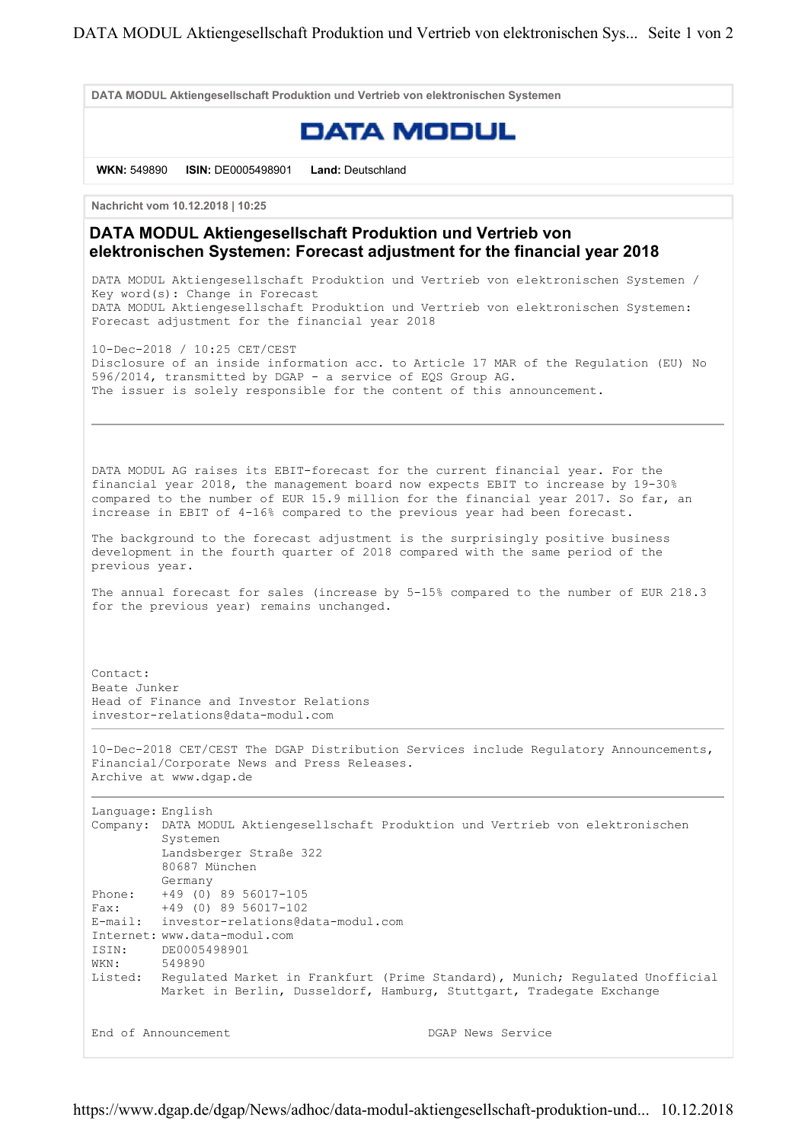